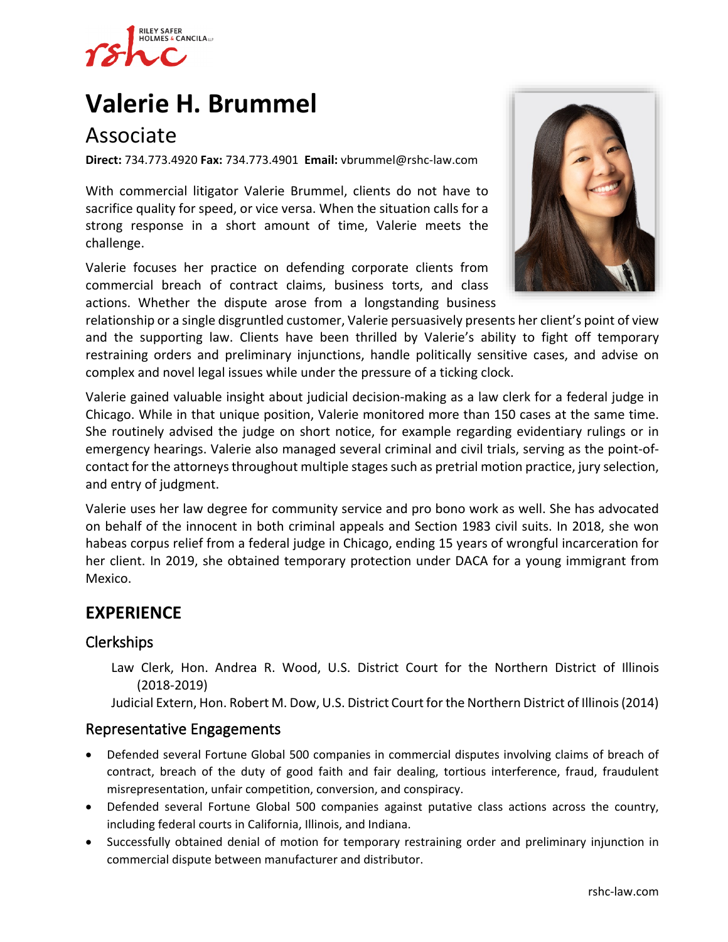

# **[Valerie H. Brummel](https://www.rshc-law.com/attorneys/attorney/valerie-h.-brummel)**

# Associate

**Direct:** 734.773.4920 **Fax:** 734.773.4901 **Email:** vbrummel@rshc-law.com

With commercial litigator Valerie Brummel, clients do not have to sacrifice quality for speed, or vice versa. When the situation calls for a strong response in a short amount of time, Valerie meets the challenge.

Valerie focuses her practice on defending corporate clients from commercial breach of contract claims, business torts, and class actions. Whether the dispute arose from a longstanding business



relationship or a single disgruntled customer, Valerie persuasively presents her client's point of view and the supporting law. Clients have been thrilled by Valerie's ability to fight off temporary restraining orders and preliminary injunctions, handle politically sensitive cases, and advise on complex and novel legal issues while under the pressure of a ticking clock.

Valerie gained valuable insight about judicial decision-making as a law clerk for a federal judge in Chicago. While in that unique position, Valerie monitored more than 150 cases at the same time. She routinely advised the judge on short notice, for example regarding evidentiary rulings or in emergency hearings. Valerie also managed several criminal and civil trials, serving as the point-ofcontact for the attorneys throughout multiple stages such as pretrial motion practice, jury selection, and entry of judgment.

Valerie uses her law degree for community service and pro bono work as well. She has advocated on behalf of the innocent in both criminal appeals and Section 1983 civil suits. In 2018, she won habeas corpus relief from a federal judge in Chicago, ending 15 years of wrongful incarceration for her client. In 2019, she obtained temporary protection under DACA for a young immigrant from Mexico.

# **EXPERIENCE**

## Clerkships

Law Clerk, Hon. Andrea R. Wood, U.S. District Court for the Northern District of Illinois (2018-2019)

Judicial Extern, Hon. Robert M. Dow, U.S. District Court for the Northern District of Illinois (2014)

#### Representative Engagements

- Defended several Fortune Global 500 companies in commercial disputes involving claims of breach of contract, breach of the duty of good faith and fair dealing, tortious interference, fraud, fraudulent misrepresentation, unfair competition, conversion, and conspiracy.
- Defended several Fortune Global 500 companies against putative class actions across the country, including federal courts in California, Illinois, and Indiana.
- Successfully obtained denial of motion for temporary restraining order and preliminary injunction in commercial dispute between manufacturer and distributor.